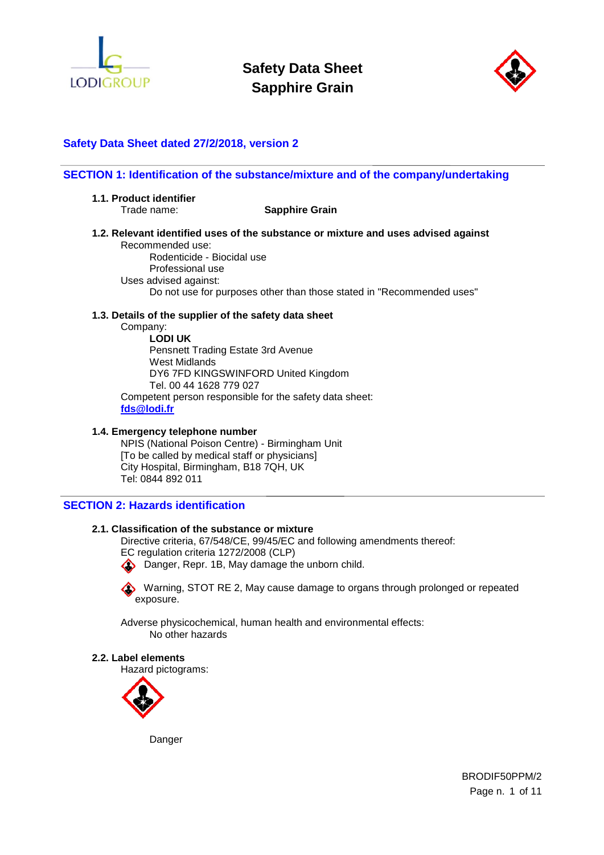



# **Safety Data Sheet dated 27/2/2018, version 2**

#### **SECTION 1: Identification of the substance/mixture and of the company/undertaking**

**1.1. Product identifier** 

Trade name: **Sapphire Grain**

**1.2. Relevant identified uses of the substance or mixture and uses advised against**  Recommended use:

Rodenticide - Biocidal use Professional use Uses advised against: Do not use for purposes other than those stated in "Recommended uses"

#### **1.3. Details of the supplier of the safety data sheet**

Company:

**LODI UK**  Pensnett Trading Estate 3rd Avenue West Midlands DY6 7FD KINGSWINFORD United Kingdom Tel. 00 44 1628 779 027 Competent person responsible for the safety data sheet: **fds@lodi.fr**

#### **1.4. Emergency telephone number**

NPIS (National Poison Centre) - Birmingham Unit [To be called by medical staff or physicians] City Hospital, Birmingham, B18 7QH, UK Tel: 0844 892 011

# **SECTION 2: Hazards identification**

### **2.1. Classification of the substance or mixture**

Directive criteria, 67/548/CE, 99/45/EC and following amendments thereof:

EC regulation criteria 1272/2008 (CLP)

Danger, Repr. 1B, May damage the unborn child.

Warning, STOT RE 2, May cause damage to organs through prolonged or repeated exposure.

Adverse physicochemical, human health and environmental effects: No other hazards

#### **2.2. Label elements**

Hazard pictograms:



Danger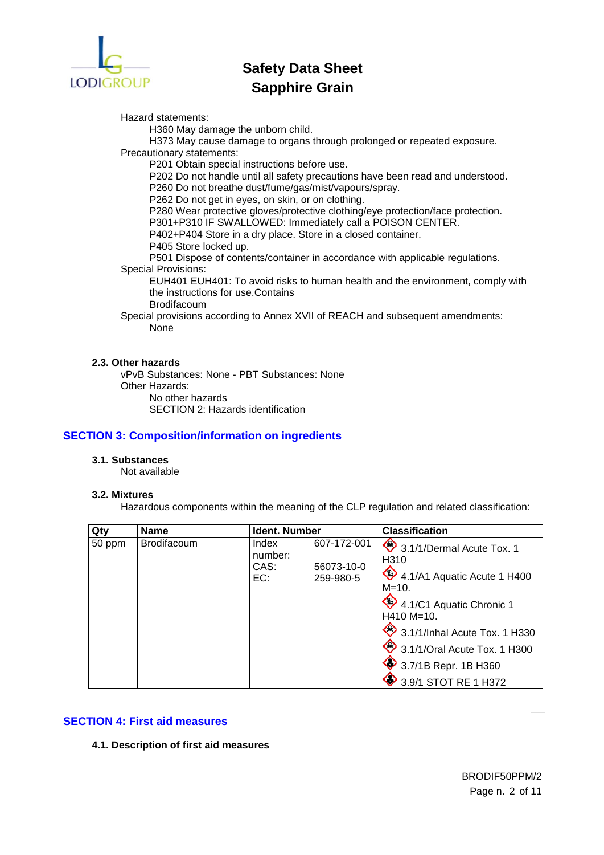

Hazard statements:

H360 May damage the unborn child.

H373 May cause damage to organs through prolonged or repeated exposure. Precautionary statements:

P201 Obtain special instructions before use.

P202 Do not handle until all safety precautions have been read and understood.

P260 Do not breathe dust/fume/gas/mist/vapours/spray.

P262 Do not get in eyes, on skin, or on clothing.

P280 Wear protective gloves/protective clothing/eye protection/face protection.

P301+P310 IF SWALLOWED: Immediately call a POISON CENTER.

P402+P404 Store in a dry place. Store in a closed container.

P405 Store locked up.

P501 Dispose of contents/container in accordance with applicable regulations. Special Provisions:

EUH401 EUH401: To avoid risks to human health and the environment, comply with the instructions for use.Contains

Brodifacoum

Special provisions according to Annex XVII of REACH and subsequent amendments: None

## **2.3. Other hazards**

vPvB Substances: None - PBT Substances: None Other Hazards: No other hazards SECTION 2: Hazards identification

**SECTION 3: Composition/information on ingredients** 

# **3.1. Substances**

Not available

# **3.2. Mixtures**

Hazardous components within the meaning of the CLP regulation and related classification:

| Qty    | <b>Name</b>        | <b>Ident. Number</b>                                                      | <b>Classification</b>                                                                                                                                                                                                                                            |
|--------|--------------------|---------------------------------------------------------------------------|------------------------------------------------------------------------------------------------------------------------------------------------------------------------------------------------------------------------------------------------------------------|
| 50 ppm | <b>Brodifacoum</b> | 607-172-001<br>Index<br>number:<br>56073-10-0<br>CAS:<br>EC:<br>259-980-5 | 3.1/1/Dermal Acute Tox. 1<br>H <sub>310</sub><br>4.1/A1 Aquatic Acute 1 H400<br>$M = 10.$<br>4.1/C1 Aquatic Chronic 1<br>$H410 M=10.$<br>3.1/1/Inhal Acute Tox. 1 H330<br>3.1/1/Oral Acute Tox. 1 H300<br>$\bullet$ 3.7/1B Repr. 1B H360<br>3.9/1 STOT RE 1 H372 |

# **SECTION 4: First aid measures**

#### **4.1. Description of first aid measures**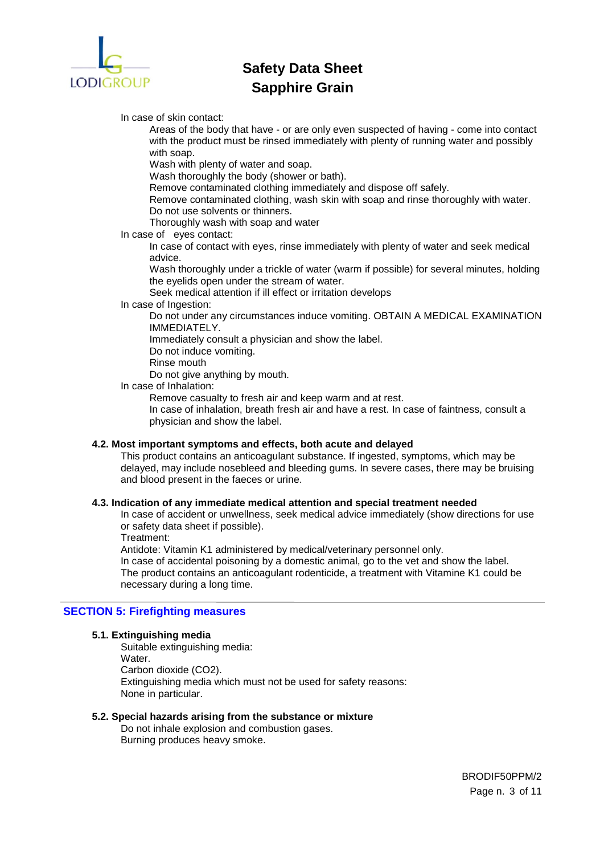

In case of skin contact:

Areas of the body that have - or are only even suspected of having - come into contact with the product must be rinsed immediately with plenty of running water and possibly with soap.

Wash with plenty of water and soap.

Wash thoroughly the body (shower or bath).

Remove contaminated clothing immediately and dispose off safely.

Remove contaminated clothing, wash skin with soap and rinse thoroughly with water. Do not use solvents or thinners.

Thoroughly wash with soap and water

In case of eyes contact:

In case of contact with eyes, rinse immediately with plenty of water and seek medical advice.

Wash thoroughly under a trickle of water (warm if possible) for several minutes, holding the eyelids open under the stream of water.

Seek medical attention if ill effect or irritation develops

In case of Ingestion:

Do not under any circumstances induce vomiting. OBTAIN A MEDICAL EXAMINATION IMMEDIATELY.

Immediately consult a physician and show the label.

- Do not induce vomiting.
- Rinse mouth

Do not give anything by mouth.

In case of Inhalation:

Remove casualty to fresh air and keep warm and at rest.

In case of inhalation, breath fresh air and have a rest. In case of faintness, consult a physician and show the label.

#### **4.2. Most important symptoms and effects, both acute and delayed**

This product contains an anticoagulant substance. If ingested, symptoms, which may be delayed, may include nosebleed and bleeding gums. In severe cases, there may be bruising and blood present in the faeces or urine.

#### **4.3. Indication of any immediate medical attention and special treatment needed**

In case of accident or unwellness, seek medical advice immediately (show directions for use or safety data sheet if possible).

Treatment:

Antidote: Vitamin K1 administered by medical/veterinary personnel only.

In case of accidental poisoning by a domestic animal, go to the vet and show the label. The product contains an anticoagulant rodenticide, a treatment with Vitamine K1 could be necessary during a long time.

#### **SECTION 5: Firefighting measures**

#### **5.1. Extinguishing media**

Suitable extinguishing media: Water. Carbon dioxide (CO2). Extinguishing media which must not be used for safety reasons: None in particular.

## **5.2. Special hazards arising from the substance or mixture**

Do not inhale explosion and combustion gases. Burning produces heavy smoke.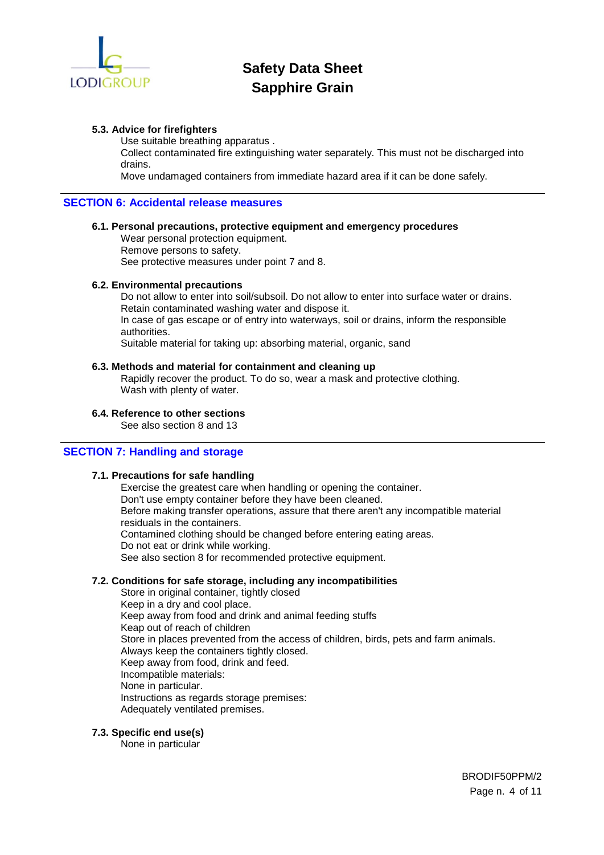

#### **5.3. Advice for firefighters**

Use suitable breathing apparatus .

Collect contaminated fire extinguishing water separately. This must not be discharged into drains.

Move undamaged containers from immediate hazard area if it can be done safely.

#### **SECTION 6: Accidental release measures**

#### **6.1. Personal precautions, protective equipment and emergency procedures**

Wear personal protection equipment. Remove persons to safety. See protective measures under point 7 and 8.

#### **6.2. Environmental precautions**

Do not allow to enter into soil/subsoil. Do not allow to enter into surface water or drains. Retain contaminated washing water and dispose it. In case of gas escape or of entry into waterways, soil or drains, inform the responsible authorities.

Suitable material for taking up: absorbing material, organic, sand

#### **6.3. Methods and material for containment and cleaning up**

Rapidly recover the product. To do so, wear a mask and protective clothing. Wash with plenty of water.

#### **6.4. Reference to other sections**

See also section 8 and 13

### **SECTION 7: Handling and storage**

#### **7.1. Precautions for safe handling**

Exercise the greatest care when handling or opening the container. Don't use empty container before they have been cleaned. Before making transfer operations, assure that there aren't any incompatible material residuals in the containers. Contamined clothing should be changed before entering eating areas. Do not eat or drink while working. See also section 8 for recommended protective equipment.

#### **7.2. Conditions for safe storage, including any incompatibilities**

Store in original container, tightly closed Keep in a dry and cool place. Keep away from food and drink and animal feeding stuffs Keap out of reach of children Store in places prevented from the access of children, birds, pets and farm animals. Always keep the containers tightly closed. Keep away from food, drink and feed. Incompatible materials: None in particular. Instructions as regards storage premises: Adequately ventilated premises.

#### **7.3. Specific end use(s)**

None in particular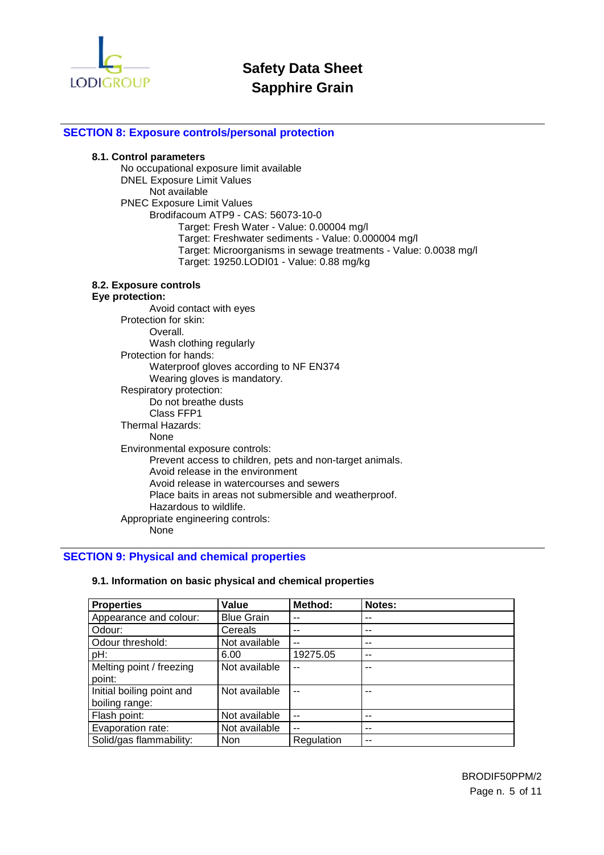

# **SECTION 8: Exposure controls/personal protection**

#### **8.1. Control parameters**

No occupational exposure limit available DNEL Exposure Limit Values Not available PNEC Exposure Limit Values Brodifacoum ATP9 - CAS: 56073-10-0 Target: Fresh Water - Value: 0.00004 mg/l Target: Freshwater sediments - Value: 0.000004 mg/l Target: Microorganisms in sewage treatments - Value: 0.0038 mg/l Target: 19250.LODI01 - Value: 0.88 mg/kg

### **8.2. Exposure controls**

#### **Eye protection:**

| Avoid contact with eyes                                  |
|----------------------------------------------------------|
| Protection for skin:                                     |
| Overall.                                                 |
| Wash clothing regularly                                  |
| Protection for hands:                                    |
| Waterproof gloves according to NF EN374                  |
| Wearing gloves is mandatory.                             |
| Respiratory protection:                                  |
| Do not breathe dusts                                     |
| Class FFP1                                               |
| Thermal Hazards:                                         |
| None                                                     |
| Environmental exposure controls:                         |
| Prevent access to children, pets and non-target animals. |
| Avoid release in the environment                         |
| Avoid release in watercourses and sewers                 |
| Place baits in areas not submersible and weatherproof.   |
| Hazardous to wildlife.                                   |
| Appropriate engineering controls:                        |
| None                                                     |

### **SECTION 9: Physical and chemical properties**

| <b>Properties</b>         | Value             | <b>Method:</b> | <b>Notes:</b> |
|---------------------------|-------------------|----------------|---------------|
| Appearance and colour:    | <b>Blue Grain</b> | --             |               |
| Odour:                    | Cereals           | --             | --            |
| Odour threshold:          | Not available     | $\overline{a}$ | --            |
| pH:                       | 6.00              | 19275.05       | $-$           |
| Melting point / freezing  | Not available     | --             | --            |
| point:                    |                   |                |               |
| Initial boiling point and | Not available     | --             |               |
| boiling range:            |                   |                |               |
| Flash point:              | Not available     | $\overline{a}$ | --            |
| Evaporation rate:         | Not available     | $\overline{a}$ | --            |
| Solid/gas flammability:   | <b>Non</b>        | Regulation     | --            |

### **9.1. Information on basic physical and chemical properties**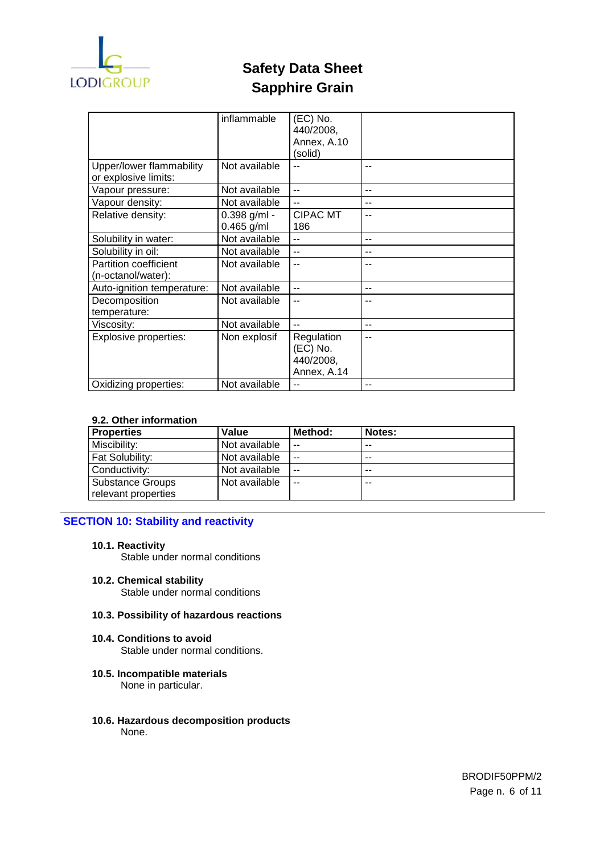

|                                                  | inflammable                  | (EC) No.<br>440/2008,<br>Annex, A.10<br>(solid)    |       |
|--------------------------------------------------|------------------------------|----------------------------------------------------|-------|
| Upper/lower flammability<br>or explosive limits: | Not available                | --                                                 | --    |
| Vapour pressure:                                 | Not available                | --                                                 | --    |
| Vapour density:                                  | Not available                | $-$                                                | --    |
| Relative density:                                | 0.398 g/ml -<br>$0.465$ g/ml | <b>CIPAC MT</b><br>186                             |       |
| Solubility in water:                             | Not available                | $-$                                                | $- -$ |
| Solubility in oil:                               | Not available                | $-$                                                |       |
| Partition coefficient<br>(n-octanol/water):      | Not available                | --                                                 |       |
| Auto-ignition temperature:                       | Not available                | $\overline{a}$                                     | --    |
| Decomposition<br>temperature:                    | Not available                | --                                                 |       |
| Viscosity:                                       | Not available                | --                                                 | --    |
| <b>Explosive properties:</b>                     | Non explosif                 | Regulation<br>(EC) No.<br>440/2008,<br>Annex, A.14 | --    |
| Oxidizing properties:                            | Not available                | --                                                 | --    |

# **9.2. Other information**

| <b>Properties</b>      | Value         | Method: | Notes: |
|------------------------|---------------|---------|--------|
| Miscibility:           | Not available | $-$     | $- -$  |
| <b>Fat Solubility:</b> | Not available | $-$     | $- -$  |
| Conductivity:          | Not available | $-$     | $- -$  |
| Substance Groups       | Not available | --      | $- -$  |
| relevant properties    |               |         |        |

# **SECTION 10: Stability and reactivity**

**10.1. Reactivity** 

Stable under normal conditions

**10.2. Chemical stability**  Stable under normal conditions

#### **10.3. Possibility of hazardous reactions**

- **10.4. Conditions to avoid**  Stable under normal conditions.
- **10.5. Incompatible materials**  None in particular.
- **10.6. Hazardous decomposition products**  None.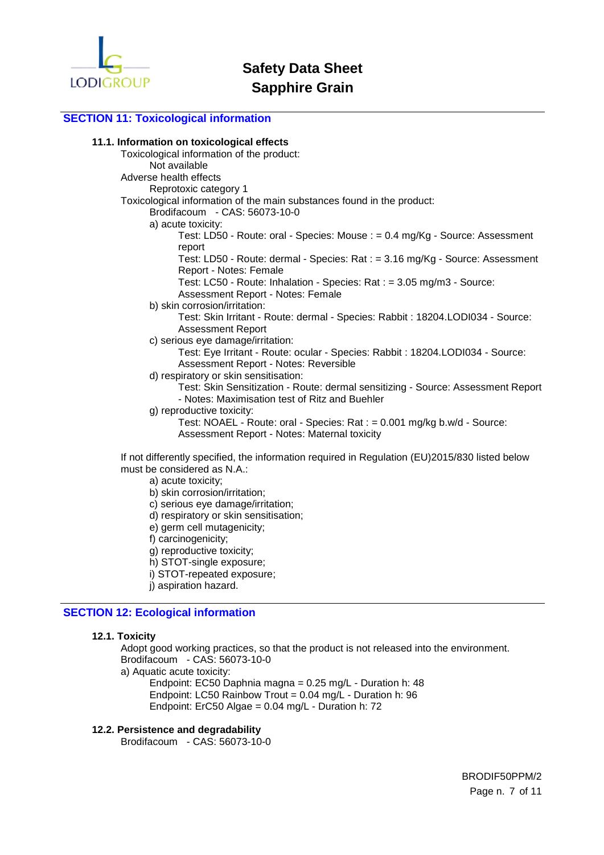

## **SECTION 11: Toxicological information**

#### **11.1. Information on toxicological effects**

Toxicological information of the product: Not available Adverse health effects Reprotoxic category 1 Toxicological information of the main substances found in the product: Brodifacoum - CAS: 56073-10-0 a) acute toxicity: Test: LD50 - Route: oral - Species: Mouse : = 0.4 mg/Kg - Source: Assessment report Test: LD50 - Route: dermal - Species: Rat : = 3.16 mg/Kg - Source: Assessment Report - Notes: Female Test: LC50 - Route: Inhalation - Species: Rat : = 3.05 mg/m3 - Source: Assessment Report - Notes: Female b) skin corrosion/irritation: Test: Skin Irritant - Route: dermal - Species: Rabbit : 18204.LODI034 - Source: Assessment Report c) serious eye damage/irritation: Test: Eye Irritant - Route: ocular - Species: Rabbit : 18204.LODI034 - Source: Assessment Report - Notes: Reversible d) respiratory or skin sensitisation: Test: Skin Sensitization - Route: dermal sensitizing - Source: Assessment Report - Notes: Maximisation test of Ritz and Buehler g) reproductive toxicity: Test: NOAEL - Route: oral - Species: Rat : = 0.001 mg/kg b.w/d - Source: Assessment Report - Notes: Maternal toxicity

If not differently specified, the information required in Regulation (EU)2015/830 listed below must be considered as N.A.:

a) acute toxicity;

- b) skin corrosion/irritation;
- c) serious eye damage/irritation;
- d) respiratory or skin sensitisation;
- e) germ cell mutagenicity;
- f) carcinogenicity;
- g) reproductive toxicity;
- h) STOT-single exposure;
- i) STOT-repeated exposure;
- j) aspiration hazard.

# **SECTION 12: Ecological information**

#### **12.1. Toxicity**

Adopt good working practices, so that the product is not released into the environment. Brodifacoum - CAS: 56073-10-0

a) Aquatic acute toxicity:

Endpoint: EC50 Daphnia magna = 0.25 mg/L - Duration h: 48 Endpoint: LC50 Rainbow Trout =  $0.04$  mg/L - Duration h: 96 Endpoint: ErC50 Algae = 0.04 mg/L - Duration h: 72

#### **12.2. Persistence and degradability**

Brodifacoum - CAS: 56073-10-0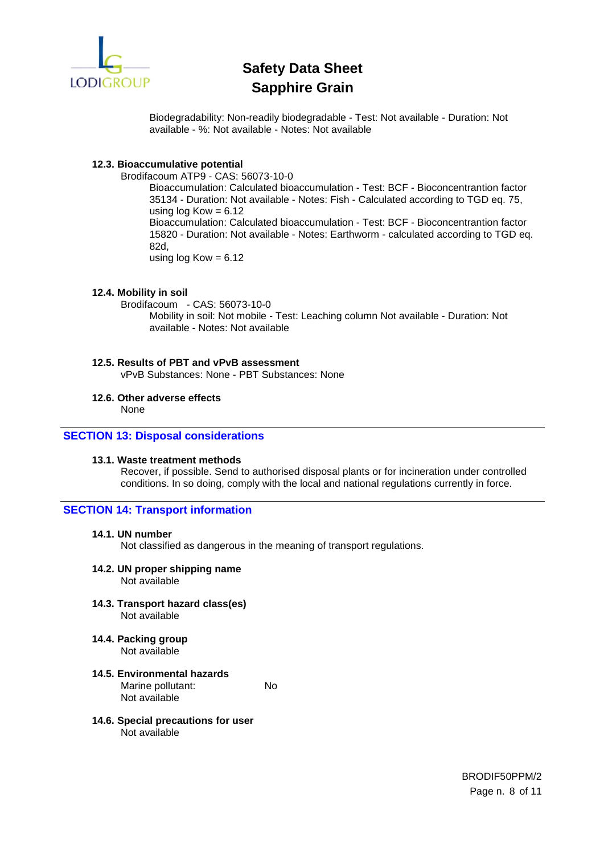

Biodegradability: Non-readily biodegradable - Test: Not available - Duration: Not available - %: Not available - Notes: Not available

# **12.3. Bioaccumulative potential**

Brodifacoum ATP9 - CAS: 56073-10-0

Bioaccumulation: Calculated bioaccumulation - Test: BCF - Bioconcentrantion factor 35134 - Duration: Not available - Notes: Fish - Calculated according to TGD eq. 75, using  $log Kow = 6.12$ Bioaccumulation: Calculated bioaccumulation - Test: BCF - Bioconcentrantion factor 15820 - Duration: Not available - Notes: Earthworm - calculated according to TGD eq. 82d, using  $log Kow = 6.12$ 

# **12.4. Mobility in soil**

Brodifacoum - CAS: 56073-10-0 Mobility in soil: Not mobile - Test: Leaching column Not available - Duration: Not available - Notes: Not available

# **12.5. Results of PBT and vPvB assessment**  vPvB Substances: None - PBT Substances: None

# **12.6. Other adverse effects**

None

# **SECTION 13: Disposal considerations**

# **13.1. Waste treatment methods**

Recover, if possible. Send to authorised disposal plants or for incineration under controlled conditions. In so doing, comply with the local and national regulations currently in force.

# **SECTION 14: Transport information**

### **14.1. UN number**

Not classified as dangerous in the meaning of transport regulations.

# **14.2. UN proper shipping name**

Not available

**14.3. Transport hazard class(es)**  Not available

**14.4. Packing group** 

Not available

- **14.5. Environmental hazards**  Marine pollutant: No Not available
- **14.6. Special precautions for user**  Not available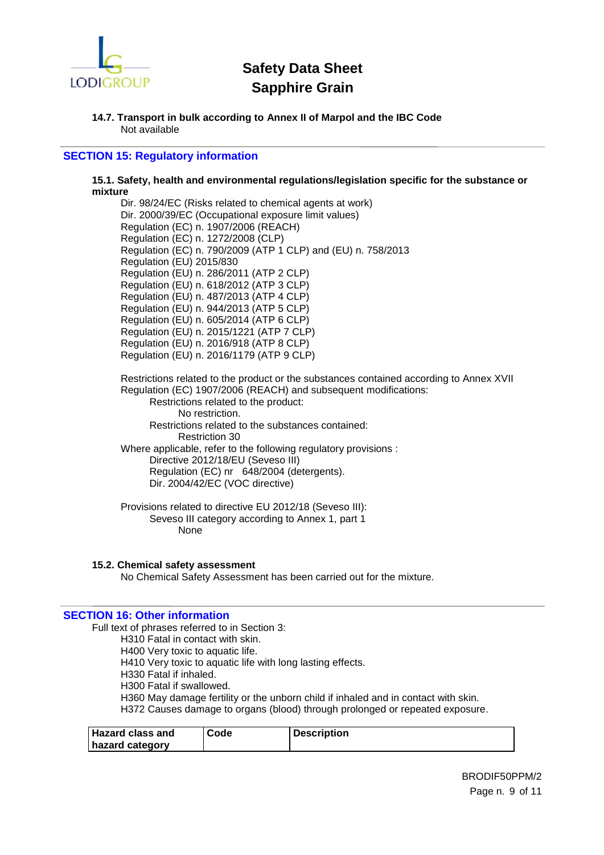

#### **14.7. Transport in bulk according to Annex II of Marpol and the IBC Code**  Not available

# **SECTION 15: Regulatory information**

#### **15.1. Safety, health and environmental regulations/legislation specific for the substance or mixture**

Dir. 98/24/EC (Risks related to chemical agents at work) Dir. 2000/39/EC (Occupational exposure limit values) Regulation (EC) n. 1907/2006 (REACH) Regulation (EC) n. 1272/2008 (CLP) Regulation (EC) n. 790/2009 (ATP 1 CLP) and (EU) n. 758/2013 Regulation (EU) 2015/830 Regulation (EU) n. 286/2011 (ATP 2 CLP) Regulation (EU) n. 618/2012 (ATP 3 CLP) Regulation (EU) n. 487/2013 (ATP 4 CLP) Regulation (EU) n. 944/2013 (ATP 5 CLP) Regulation (EU) n. 605/2014 (ATP 6 CLP) Regulation (EU) n. 2015/1221 (ATP 7 CLP) Regulation (EU) n. 2016/918 (ATP 8 CLP) Regulation (EU) n. 2016/1179 (ATP 9 CLP)

Restrictions related to the product or the substances contained according to Annex XVII Regulation (EC) 1907/2006 (REACH) and subsequent modifications: Restrictions related to the product: No restriction. Restrictions related to the substances contained:

Restriction 30 Where applicable, refer to the following regulatory provisions : Directive 2012/18/EU (Seveso III)

Regulation (EC) nr 648/2004 (detergents). Dir. 2004/42/EC (VOC directive)

Provisions related to directive EU 2012/18 (Seveso III): Seveso III category according to Annex 1, part 1 None

# **15.2. Chemical safety assessment**

No Chemical Safety Assessment has been carried out for the mixture.

# **SECTION 16: Other information**

Full text of phrases referred to in Section 3:

H310 Fatal in contact with skin.

H400 Very toxic to aquatic life.

H410 Very toxic to aquatic life with long lasting effects.

H330 Fatal if inhaled.

H300 Fatal if swallowed.

H360 May damage fertility or the unborn child if inhaled and in contact with skin. H372 Causes damage to organs (blood) through prolonged or repeated exposure.

| <b>Hazard class and</b> | Code | <b>Description</b> |
|-------------------------|------|--------------------|
| hazard category         |      |                    |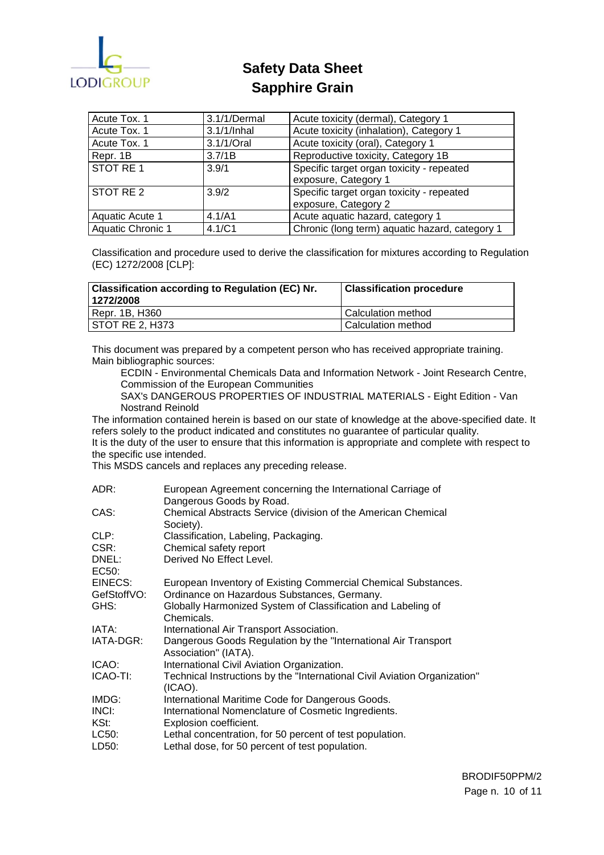

| Acute Tox. 1      | 3.1/1/Dermal   | Acute toxicity (dermal), Category 1            |
|-------------------|----------------|------------------------------------------------|
| Acute Tox. 1      | $3.1/1/$ Inhal | Acute toxicity (inhalation), Category 1        |
| Acute Tox. 1      | 3.1/1/Oral     | Acute toxicity (oral), Category 1              |
| Repr. 1B          | 3.7/1B         | Reproductive toxicity, Category 1B             |
| STOT RE1          | 3.9/1          | Specific target organ toxicity - repeated      |
|                   |                | exposure, Category 1                           |
| STOT RE 2         | 3.9/2          | Specific target organ toxicity - repeated      |
|                   |                | exposure, Category 2                           |
| Aquatic Acute 1   | 4.1/A1         | Acute aquatic hazard, category 1               |
| Aquatic Chronic 1 | 4.1/C1         | Chronic (long term) aquatic hazard, category 1 |

Classification and procedure used to derive the classification for mixtures according to Regulation (EC) 1272/2008 [CLP]:

| <b>Classification according to Regulation (EC) Nr.</b><br>1272/2008 | <b>Classification procedure</b> |
|---------------------------------------------------------------------|---------------------------------|
| Repr. 1B, H360                                                      | l Calculation method            |
| STOT RE 2, H373                                                     | l Calculation method            |

This document was prepared by a competent person who has received appropriate training. Main bibliographic sources:

ECDIN - Environmental Chemicals Data and Information Network - Joint Research Centre, Commission of the European Communities

SAX's DANGEROUS PROPERTIES OF INDUSTRIAL MATERIALS - Eight Edition - Van Nostrand Reinold

The information contained herein is based on our state of knowledge at the above-specified date. It refers solely to the product indicated and constitutes no guarantee of particular quality.

It is the duty of the user to ensure that this information is appropriate and complete with respect to the specific use intended.

This MSDS cancels and replaces any preceding release.

| ADR:        | European Agreement concerning the International Carriage of               |
|-------------|---------------------------------------------------------------------------|
|             | Dangerous Goods by Road.                                                  |
| CAS:        | Chemical Abstracts Service (division of the American Chemical             |
|             | Society).                                                                 |
| CLP:        | Classification, Labeling, Packaging.                                      |
| CSR:        | Chemical safety report                                                    |
| DNEL:       | Derived No Effect Level.                                                  |
| EC50:       |                                                                           |
| EINECS:     | European Inventory of Existing Commercial Chemical Substances.            |
| GefStoffVO: | Ordinance on Hazardous Substances, Germany.                               |
| GHS:        | Globally Harmonized System of Classification and Labeling of              |
|             | Chemicals.                                                                |
| IATA:       | International Air Transport Association.                                  |
| IATA-DGR:   | Dangerous Goods Regulation by the "International Air Transport"           |
|             | Association" (IATA).                                                      |
| ICAO:       | International Civil Aviation Organization.                                |
| ICAO-TI:    | Technical Instructions by the "International Civil Aviation Organization" |
|             | $(ICAO)$ .                                                                |
| IMDG:       | International Maritime Code for Dangerous Goods.                          |
| INCI:       | International Nomenclature of Cosmetic Ingredients.                       |
| KSt:        | Explosion coefficient.                                                    |
| LC50:       | Lethal concentration, for 50 percent of test population.                  |
| LD50:       | Lethal dose, for 50 percent of test population.                           |
|             |                                                                           |